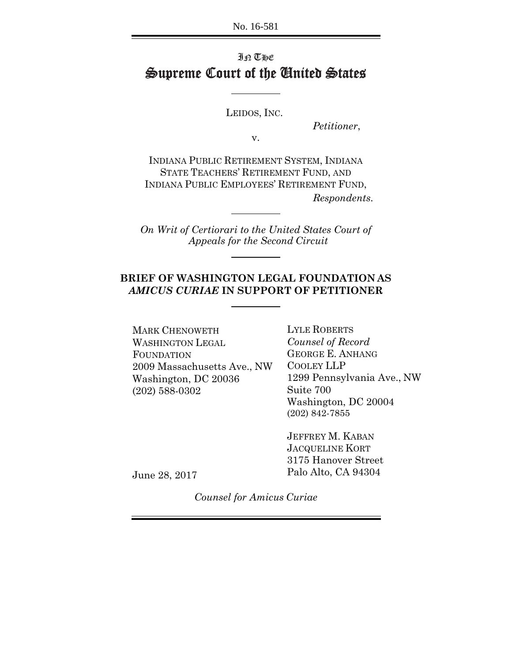No. 16-581

### IN THE Supreme Court of the United States

LEIDOS, INC.

*Petitioner*,

v.

INDIANA PUBLIC RETIREMENT SYSTEM, INDIANA STATE TEACHERS' RETIREMENT FUND, AND INDIANA PUBLIC EMPLOYEES' RETIREMENT FUND, *Respondents.*

*On Writ of Certiorari to the United States Court of Appeals for the Second Circuit*

### **BRIEF OF WASHINGTON LEGAL FOUNDATION AS** *AMICUS CURIAE* **IN SUPPORT OF PETITIONER**

MARK CHENOWETH WASHINGTON LEGAL FOUNDATION 2009 Massachusetts Ave., NW Washington, DC 20036 (202) 588-0302

LYLE ROBERTS *Counsel of Record* GEORGE E. ANHANG COOLEY LLP 1299 Pennsylvania Ave., NW Suite 700 Washington, DC 20004 (202) 842-7855

JEFFREY M. KABAN JACQUELINE KORT 3175 Hanover Street Palo Alto, CA 94304

June 28, 2017

*Counsel for Amicus Curiae*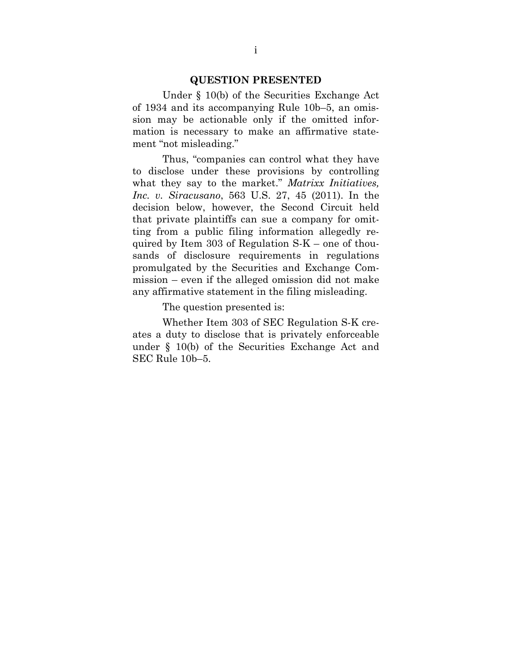#### **QUESTION PRESENTED**

Under § 10(b) of the Securities Exchange Act of 1934 and its accompanying Rule 10b–5, an omission may be actionable only if the omitted information is necessary to make an affirmative statement "not misleading."

Thus, "companies can control what they have to disclose under these provisions by controlling what they say to the market." *Matrixx Initiatives, Inc. v. Siracusano*, 563 U.S. 27, 45 (2011). In the decision below, however, the Second Circuit held that private plaintiffs can sue a company for omitting from a public filing information allegedly required by Item 303 of Regulation S-K – one of thousands of disclosure requirements in regulations promulgated by the Securities and Exchange Commission – even if the alleged omission did not make any affirmative statement in the filing misleading.

The question presented is:

Whether Item 303 of SEC Regulation S-K creates a duty to disclose that is privately enforceable under § 10(b) of the Securities Exchange Act and SEC Rule 10b–5.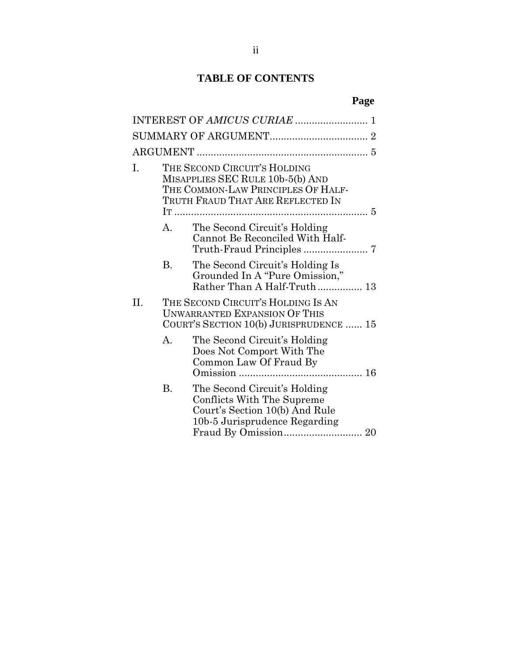### **TABLE OF CONTENTS**

|--|

| Ι. |    | THE SECOND CIRCUIT'S HOLDING<br>MISAPPLIES SEC RULE 10b-5(b) AND<br>THE COMMON-LAW PRINCIPLES OF HALF-<br>TRUTH FRAUD THAT ARE REFLECTED IN |  |
|----|----|---------------------------------------------------------------------------------------------------------------------------------------------|--|
|    | A. | The Second Circuit's Holding<br>Cannot Be Reconciled With Half-                                                                             |  |
|    | B. | The Second Circuit's Holding Is<br>Grounded In A "Pure Omission,"<br>Rather Than A Half-Truth 13                                            |  |
| H. |    | THE SECOND CIRCUIT'S HOLDING IS AN<br><b>UNWARRANTED EXPANSION OF THIS</b><br>COURT'S SECTION 10(b) JURISPRUDENCE  15                       |  |
|    | A. | The Second Circuit's Holding<br>Does Not Comport With The<br>Common Law Of Fraud By                                                         |  |
|    | B. | The Second Circuit's Holding<br>Conflicts With The Supreme<br>Court's Section 10(b) And Rule<br>10b-5 Jurisprudence Regarding               |  |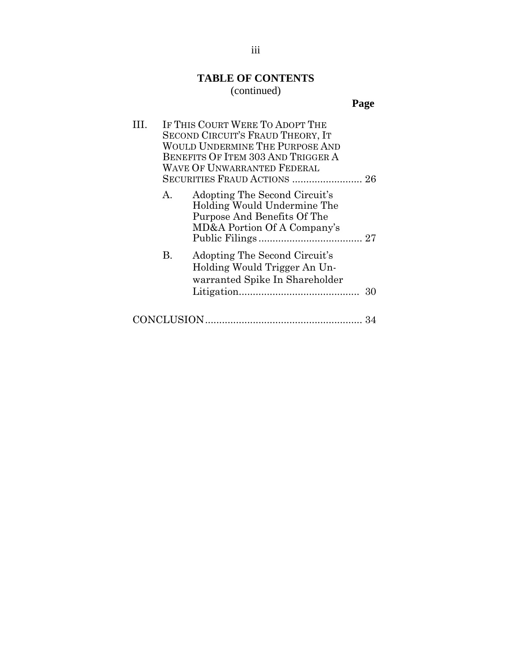## **TABLE OF CONTENTS**

### (continued)

**Page**

| . |    | IF THIS COURT WERE TO ADOPT THE<br><b>SECOND CIRCUIT'S FRAUD THEORY, IT</b><br>WOULD UNDERMINE THE PURPOSE AND<br>BENEFITS OF ITEM 303 AND TRIGGER A<br><b>WAVE OF UNWARRANTED FEDERAL</b> |    |
|---|----|--------------------------------------------------------------------------------------------------------------------------------------------------------------------------------------------|----|
|   |    | SECURITIES FRAUD ACTIONS  26                                                                                                                                                               |    |
|   | А. | Adopting The Second Circuit's<br>Holding Would Undermine The<br>Purpose And Benefits Of The<br>MD&A Portion Of A Company's                                                                 |    |
|   | В. | Adopting The Second Circuit's<br>Holding Would Trigger An Un-<br>warranted Spike In Shareholder                                                                                            | 30 |
|   |    |                                                                                                                                                                                            |    |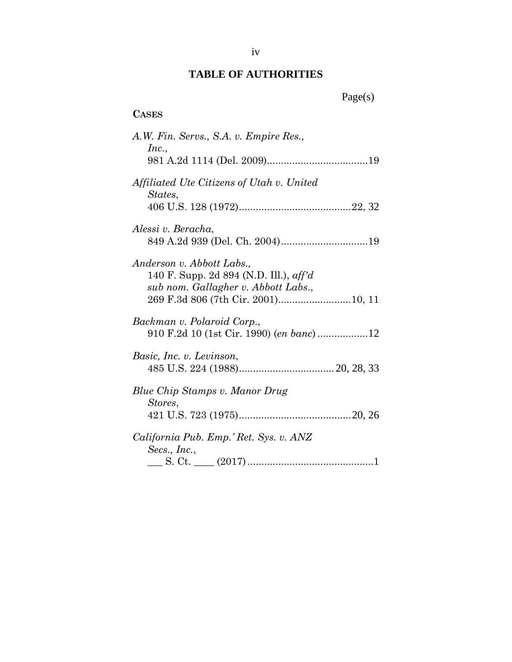### **TABLE OF AUTHORITIES**

### **CASES**

| A.W. Fin. Servs., S.A. v. Empire Res.,<br>Inc.,                                                            |
|------------------------------------------------------------------------------------------------------------|
|                                                                                                            |
| Affiliated Ute Citizens of Utah v. United<br>States,                                                       |
|                                                                                                            |
| Alessi v. Beracha,                                                                                         |
| Anderson v. Abbott Labs.,<br>140 F. Supp. 2d 894 (N.D. Ill.), aff'd<br>sub nom. Gallagher v. Abbott Labs., |
|                                                                                                            |
| Backman v. Polaroid Corp.,                                                                                 |
| Basic, Inc. v. Levinson,                                                                                   |
| Blue Chip Stamps v. Manor Drug<br>Stores,                                                                  |
|                                                                                                            |
| California Pub. Emp.' Ret. Sys. v. ANZ<br>Secs., $Inc.,$                                                   |
| S. Ct. $\qquad \qquad (2017) \dots$                                                                        |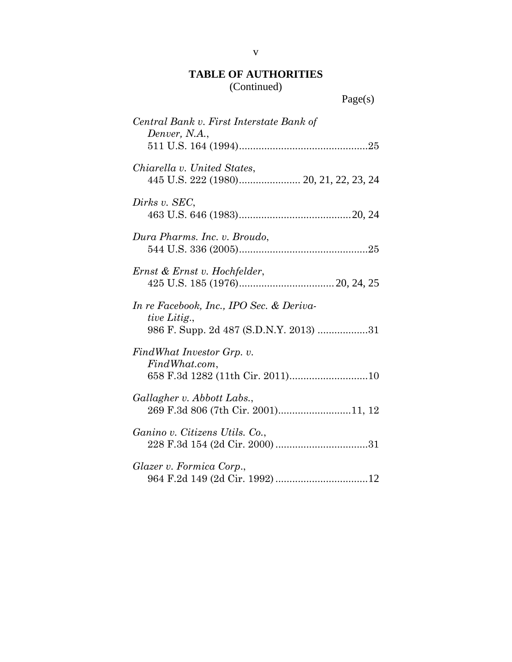| Central Bank v. First Interstate Bank of<br>Denver, N.A.,                                          |
|----------------------------------------------------------------------------------------------------|
|                                                                                                    |
| Chiarella v. United States,<br>445 U.S. 222 (1980) 20, 21, 22, 23, 24                              |
| Dirks v. SEC,                                                                                      |
| Dura Pharms. Inc. v. Broudo,                                                                       |
| Ernst & Ernst v. Hochfelder,                                                                       |
| In re Facebook, Inc., IPO Sec. & Deriva-<br>tive Litig.,<br>986 F. Supp. 2d 487 (S.D.N.Y. 2013) 31 |
| FindWhat Investor Grp. v.<br>FindWhat.com,                                                         |
| 658 F.3d 1282 (11th Cir. 2011)10                                                                   |
| Gallagher v. Abbott Labs.,<br>269 F.3d 806 (7th Cir. 2001)11, 12                                   |
| Ganino v. Citizens Utils. Co.,                                                                     |
| Glazer v. Formica Corp.,                                                                           |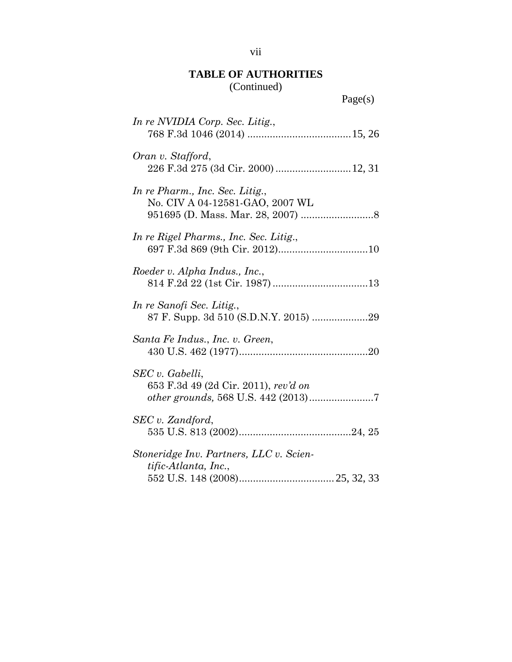| In re NVIDIA Corp. Sec. Litig.,                                    |
|--------------------------------------------------------------------|
| Oran v. Stafford,<br>226 F.3d 275 (3d Cir. 2000)  12, 31           |
| In re Pharm., Inc. Sec. Litig.,<br>No. CIV A 04-12581-GAO, 2007 WL |
| In re Rigel Pharms., Inc. Sec. Litig.,                             |
| Roeder v. Alpha Indus., Inc.,                                      |
| In re Sanofi Sec. Litig.,<br>87 F. Supp. 3d 510 (S.D.N.Y. 2015) 29 |
| Santa Fe Indus., Inc. v. Green,                                    |
| SEC v. Gabelli,<br>653 F.3d 49 (2d Cir. 2011), rev'd on            |
| SEC v. Zandford,                                                   |
| Stoneridge Inv. Partners, LLC v. Scien-<br>tific-Atlanta, Inc.,    |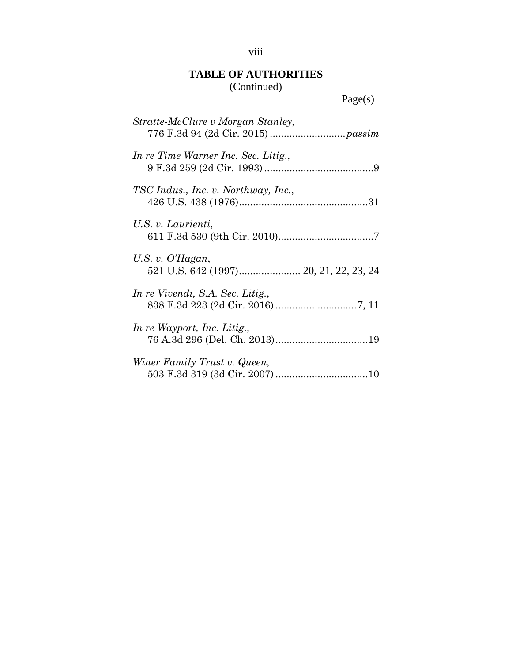| Stratte-McClure v Morgan Stanley,   |
|-------------------------------------|
| In re Time Warner Inc. Sec. Litig., |
| TSC Indus., Inc. v. Northway, Inc., |
| U.S. v. Laurienti,                  |
| U.S. v. $O'Hagan$ ,                 |
| In re Vivendi, S.A. Sec. Litig.,    |
| In re Wayport, Inc. Litig.,         |
| Winer Family Trust v. Queen,        |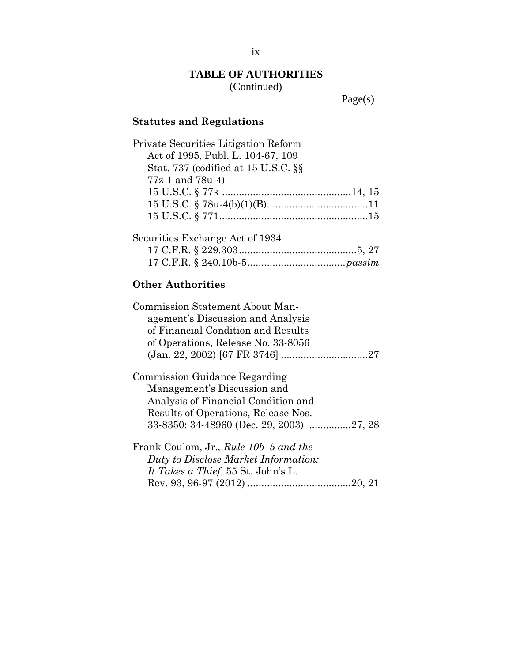Page(s)

### **Statutes and Regulations**

| Private Securities Litigation Reform |
|--------------------------------------|
| Act of 1995, Publ. L. 104-67, 109    |
| Stat. 737 (codified at 15 U.S.C. §§  |
| $77z-1$ and $78u-4$ )                |
|                                      |
|                                      |
|                                      |
| Securities Exchange Act of 1934      |
|                                      |

# 17 C.F.R. § 240.10b-5 ................................... *passim*

### **Other Authorities**

| Commission Statement About Man-       |
|---------------------------------------|
| agement's Discussion and Analysis     |
| of Financial Condition and Results    |
| of Operations, Release No. 33-8056    |
|                                       |
| Commission Guidance Regarding         |
| Management's Discussion and           |
| Analysis of Financial Condition and   |
| Results of Operations, Release Nos.   |
|                                       |
| Frank Coulom, Jr., Rule 10b-5 and the |
| Duty to Disclose Market Information:  |
| It Takes a Thief, 55 St. John's L.    |
| 20, 21                                |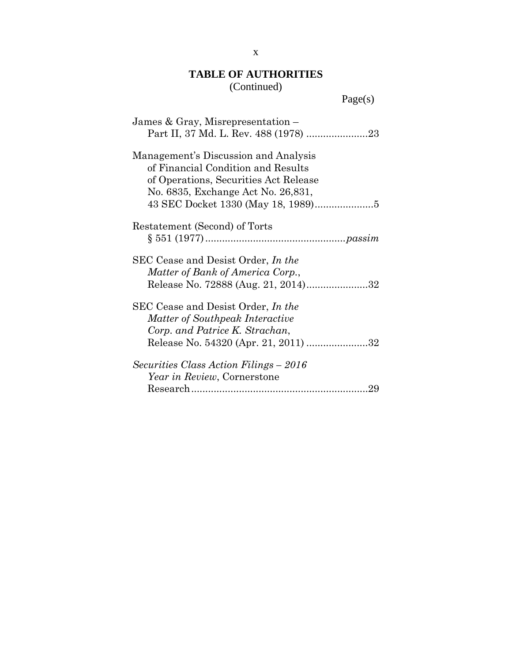| James & Gray, Misrepresentation –                                                                                                                         |
|-----------------------------------------------------------------------------------------------------------------------------------------------------------|
| Management's Discussion and Analysis<br>of Financial Condition and Results<br>of Operations, Securities Act Release<br>No. 6835, Exchange Act No. 26,831, |
| Restatement (Second) of Torts                                                                                                                             |
| SEC Cease and Desist Order, In the<br>Matter of Bank of America Corp.,<br>Release No. 72888 (Aug. 21, 2014)32                                             |
| SEC Cease and Desist Order, In the<br>Matter of Southpeak Interactive<br>Corp. and Patrice K. Strachan,<br>Release No. 54320 (Apr. 21, 2011) 32           |
| Securities Class Action Filings – 2016<br>Year in Review, Cornerstone<br>29                                                                               |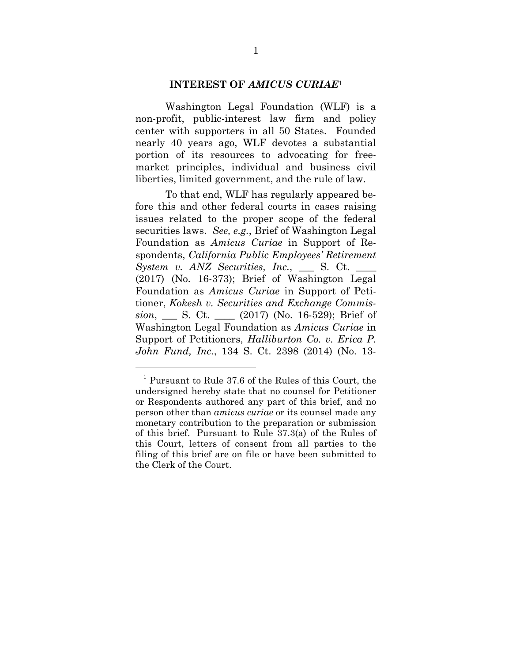#### **INTEREST OF** *AMICUS CURIAE*<sup>1</sup>

Washington Legal Foundation (WLF) is a non-profit, public-interest law firm and policy center with supporters in all 50 States. Founded nearly 40 years ago, WLF devotes a substantial portion of its resources to advocating for freemarket principles, individual and business civil liberties, limited government, and the rule of law.

To that end, WLF has regularly appeared before this and other federal courts in cases raising issues related to the proper scope of the federal securities laws. *See, e.g.*, Brief of Washington Legal Foundation as *Amicus Curiae* in Support of Respondents, *California Public Employees' Retirement System v. ANZ Securities, Inc.*, \_\_\_ S. Ct. \_\_\_ (2017) (No. 16-373); Brief of Washington Legal Foundation as *Amicus Curiae* in Support of Petitioner, *Kokesh v. Securities and Exchange Commission*, \_\_\_ S. Ct. \_\_\_\_ (2017) (No. 16-529); Brief of Washington Legal Foundation as *Amicus Curiae* in Support of Petitioners, *Halliburton Co. v. Erica P. John Fund, Inc.*, 134 S. Ct. 2398 (2014) (No. 13-

<sup>1</sup> Pursuant to Rule 37.6 of the Rules of this Court, the undersigned hereby state that no counsel for Petitioner or Respondents authored any part of this brief, and no person other than *amicus curiae* or its counsel made any monetary contribution to the preparation or submission of this brief. Pursuant to Rule 37.3(a) of the Rules of this Court, letters of consent from all parties to the filing of this brief are on file or have been submitted to the Clerk of the Court.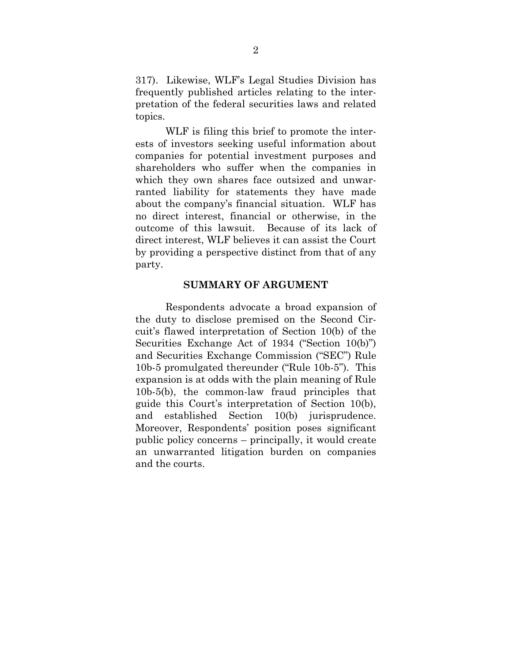317). Likewise, WLF's Legal Studies Division has frequently published articles relating to the interpretation of the federal securities laws and related topics.

WLF is filing this brief to promote the interests of investors seeking useful information about companies for potential investment purposes and shareholders who suffer when the companies in which they own shares face outsized and unwarranted liability for statements they have made about the company's financial situation. WLF has no direct interest, financial or otherwise, in the outcome of this lawsuit. Because of its lack of direct interest, WLF believes it can assist the Court by providing a perspective distinct from that of any party.

#### **SUMMARY OF ARGUMENT**

Respondents advocate a broad expansion of the duty to disclose premised on the Second Circuit's flawed interpretation of Section 10(b) of the Securities Exchange Act of 1934 ("Section 10(b)") and Securities Exchange Commission ("SEC") Rule 10b-5 promulgated thereunder ("Rule 10b-5"). This expansion is at odds with the plain meaning of Rule 10b-5(b), the common-law fraud principles that guide this Court's interpretation of Section 10(b), and established Section 10(b) jurisprudence. Moreover, Respondents' position poses significant public policy concerns – principally, it would create an unwarranted litigation burden on companies and the courts.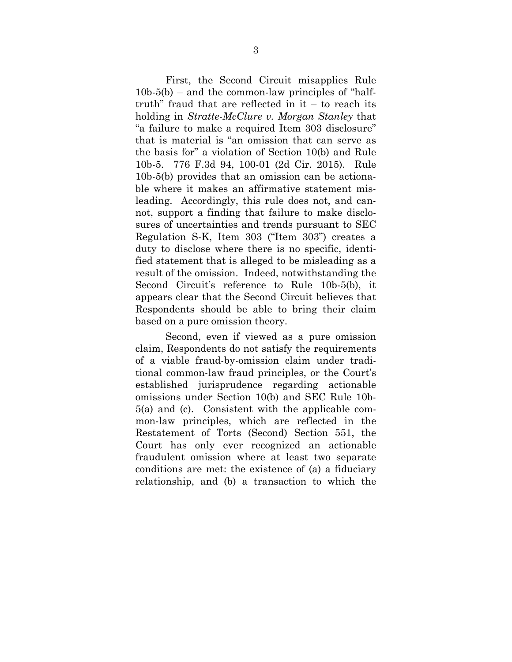First, the Second Circuit misapplies Rule  $10b-5(b)$  – and the common-law principles of "halftruth" fraud that are reflected in  $it - to reach its$ holding in *Stratte-McClure v. Morgan Stanley* that "a failure to make a required Item 303 disclosure" that is material is "an omission that can serve as the basis for" a violation of Section 10(b) and Rule 10b-5. 776 F.3d 94, 100-01 (2d Cir. 2015). Rule 10b-5(b) provides that an omission can be actionable where it makes an affirmative statement misleading. Accordingly, this rule does not, and cannot, support a finding that failure to make disclosures of uncertainties and trends pursuant to SEC Regulation S-K, Item 303 ("Item 303") creates a duty to disclose where there is no specific, identified statement that is alleged to be misleading as a result of the omission. Indeed, notwithstanding the Second Circuit's reference to Rule 10b-5(b), it appears clear that the Second Circuit believes that Respondents should be able to bring their claim based on a pure omission theory.

Second, even if viewed as a pure omission claim, Respondents do not satisfy the requirements of a viable fraud-by-omission claim under traditional common-law fraud principles, or the Court's established jurisprudence regarding actionable omissions under Section 10(b) and SEC Rule 10b-5(a) and (c). Consistent with the applicable common-law principles, which are reflected in the Restatement of Torts (Second) Section 551, the Court has only ever recognized an actionable fraudulent omission where at least two separate conditions are met: the existence of (a) a fiduciary relationship, and (b) a transaction to which the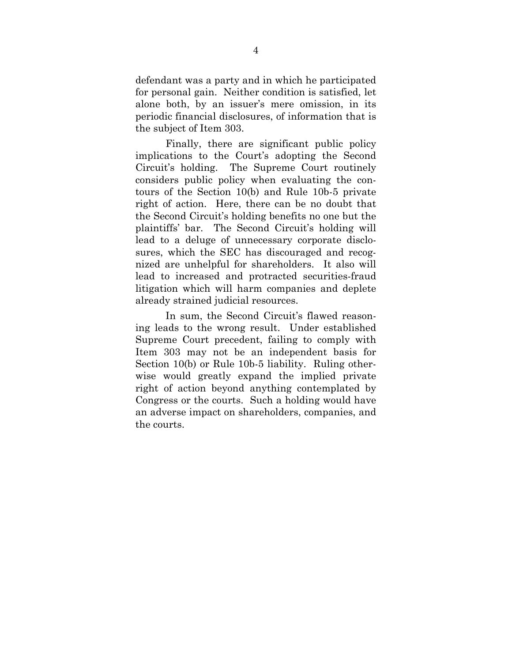defendant was a party and in which he participated for personal gain. Neither condition is satisfied, let alone both, by an issuer's mere omission, in its periodic financial disclosures, of information that is the subject of Item 303.

Finally, there are significant public policy implications to the Court's adopting the Second Circuit's holding. The Supreme Court routinely considers public policy when evaluating the contours of the Section 10(b) and Rule 10b-5 private right of action. Here, there can be no doubt that the Second Circuit's holding benefits no one but the plaintiffs' bar. The Second Circuit's holding will lead to a deluge of unnecessary corporate disclosures, which the SEC has discouraged and recognized are unhelpful for shareholders. It also will lead to increased and protracted securities-fraud litigation which will harm companies and deplete already strained judicial resources.

In sum, the Second Circuit's flawed reasoning leads to the wrong result. Under established Supreme Court precedent, failing to comply with Item 303 may not be an independent basis for Section 10(b) or Rule 10b-5 liability. Ruling otherwise would greatly expand the implied private right of action beyond anything contemplated by Congress or the courts. Such a holding would have an adverse impact on shareholders, companies, and the courts.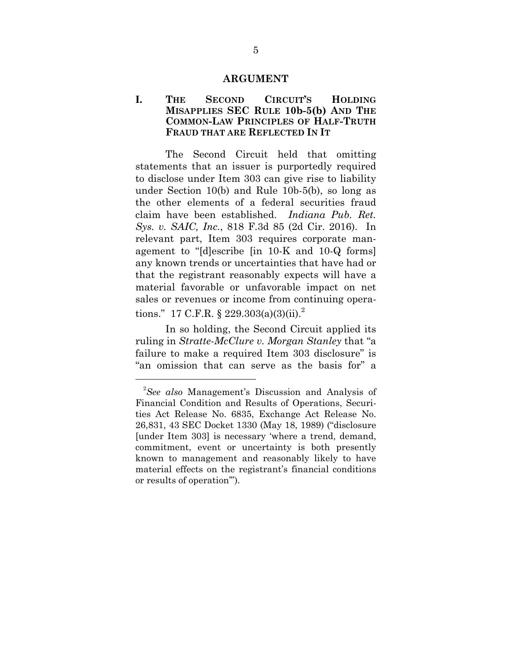#### **ARGUMENT**

#### **I. THE SECOND CIRCUIT'S HOLDING MISAPPLIES SEC RULE 10b-5(b) AND THE COMMON-LAW PRINCIPLES OF HALF-TRUTH FRAUD THAT ARE REFLECTED IN IT**

The Second Circuit held that omitting statements that an issuer is purportedly required to disclose under Item 303 can give rise to liability under Section 10(b) and Rule 10b-5(b), so long as the other elements of a federal securities fraud claim have been established. *Indiana Pub. Ret. Sys. v. SAIC, Inc.*, 818 F.3d 85 (2d Cir. 2016). In relevant part, Item 303 requires corporate management to "[d]escribe [in 10-K and 10-Q forms] any known trends or uncertainties that have had or that the registrant reasonably expects will have a material favorable or unfavorable impact on net sales or revenues or income from continuing operations." 17 C.F.R. § 229.303(a)(3)(ii).<sup>2</sup>

In so holding, the Second Circuit applied its ruling in *Stratte-McClure v. Morgan Stanley* that "a failure to make a required Item 303 disclosure" is "an omission that can serve as the basis for" a

<sup>2</sup> *See also* Management's Discussion and Analysis of Financial Condition and Results of Operations, Securities Act Release No. 6835, Exchange Act Release No. 26,831, 43 SEC Docket 1330 (May 18, 1989) ("disclosure [under Item 303] is necessary 'where a trend, demand, commitment, event or uncertainty is both presently known to management and reasonably likely to have material effects on the registrant's financial conditions or results of operation'").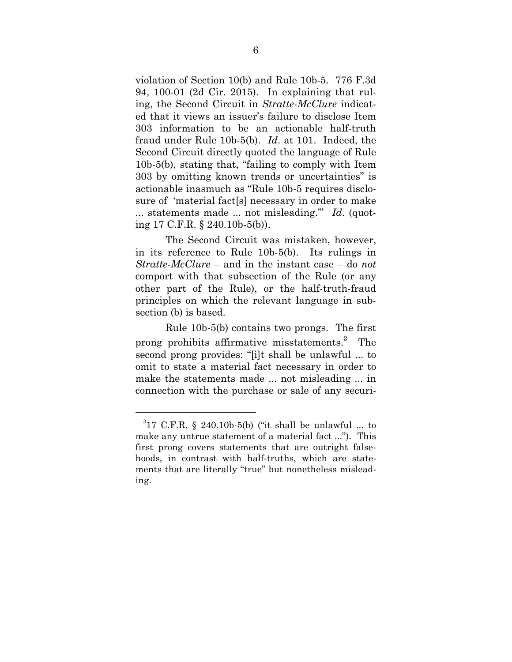violation of Section 10(b) and Rule 10b-5. 776 F.3d 94, 100-01 (2d Cir. 2015). In explaining that ruling, the Second Circuit in *Stratte-McClure* indicated that it views an issuer's failure to disclose Item 303 information to be an actionable half-truth fraud under Rule 10b-5(b). *Id*. at 101. Indeed, the Second Circuit directly quoted the language of Rule 10b-5(b), stating that, "failing to comply with Item 303 by omitting known trends or uncertainties" is actionable inasmuch as "Rule 10b-5 requires disclosure of 'material fact[s] necessary in order to make ... statements made ... not misleading.'" *Id*. (quoting 17 C.F.R. § 240.10b-5(b)).

The Second Circuit was mistaken, however, in its reference to Rule 10b-5(b). Its rulings in *Stratte-McClure* – and in the instant case – do *not* comport with that subsection of the Rule (or any other part of the Rule), or the half-truth-fraud principles on which the relevant language in subsection (b) is based.

Rule 10b-5(b) contains two prongs. The first prong prohibits affirmative misstatements.<sup>3</sup> The second prong provides: "[i]t shall be unlawful ... to omit to state a material fact necessary in order to make the statements made ... not misleading ... in connection with the purchase or sale of any securi-

 $317$  C.F.R. § 240.10b-5(b) ("it shall be unlawful ... to make any untrue statement of a material fact ..."). This first prong covers statements that are outright falsehoods, in contrast with half-truths, which are statements that are literally "true" but nonetheless misleading.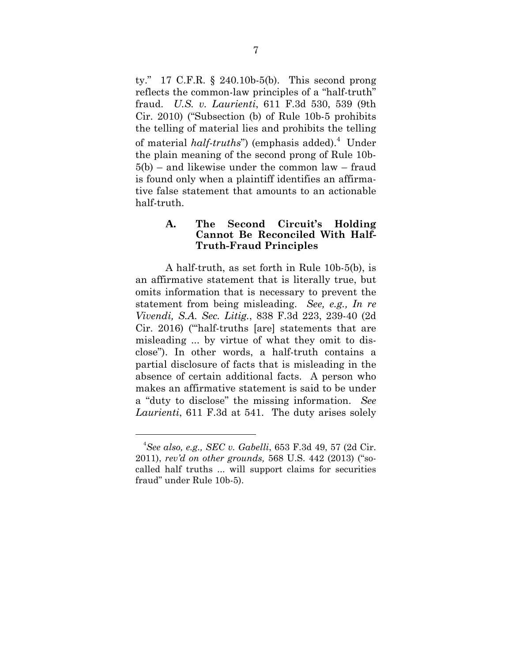ty." 17 C.F.R. § 240.10b-5(b). This second prong reflects the common-law principles of a "half-truth" fraud. *U.S. v. Laurienti*, 611 F.3d 530, 539 (9th Cir. 2010) ("Subsection (b) of Rule 10b-5 prohibits the telling of material lies and prohibits the telling of material *half-truths*") (emphasis added).<sup>4</sup> Under the plain meaning of the second prong of Rule 10b-5(b) – and likewise under the common law – fraud is found only when a plaintiff identifies an affirmative false statement that amounts to an actionable half-truth.

#### **A. The Second Circuit's Holding Cannot Be Reconciled With Half-Truth-Fraud Principles**

A half-truth, as set forth in Rule 10b-5(b), is an affirmative statement that is literally true, but omits information that is necessary to prevent the statement from being misleading. *See, e.g., In re Vivendi, S.A. Sec. Litig.*, 838 F.3d 223, 239-40 (2d Cir. 2016) ("'half-truths [are] statements that are misleading ... by virtue of what they omit to disclose"). In other words, a half-truth contains a partial disclosure of facts that is misleading in the absence of certain additional facts. A person who makes an affirmative statement is said to be under a "duty to disclose" the missing information. *See Laurienti*, 611 F.3d at 541. The duty arises solely

<sup>4</sup> *See also, e.g., SEC v. Gabelli*, 653 F.3d 49, 57 (2d Cir. 2011), *rev'd on other grounds,* 568 U.S. 442 (2013) ("socalled half truths ... will support claims for securities fraud" under Rule 10b-5).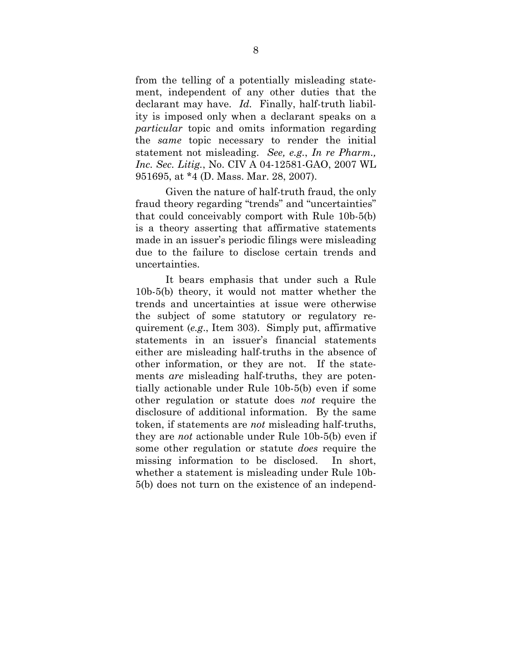from the telling of a potentially misleading statement, independent of any other duties that the declarant may have. *Id.* Finally, half-truth liability is imposed only when a declarant speaks on a *particular* topic and omits information regarding the *same* topic necessary to render the initial statement not misleading. *See, e.g.*, *In re Pharm., Inc. Sec. Litig.*, No. CIV A 04-12581-GAO, 2007 WL 951695, at \*4 (D. Mass. Mar. 28, 2007).

Given the nature of half-truth fraud, the only fraud theory regarding "trends" and "uncertainties" that could conceivably comport with Rule 10b-5(b) is a theory asserting that affirmative statements made in an issuer's periodic filings were misleading due to the failure to disclose certain trends and uncertainties.

It bears emphasis that under such a Rule 10b-5(b) theory, it would not matter whether the trends and uncertainties at issue were otherwise the subject of some statutory or regulatory requirement (*e.g*., Item 303). Simply put, affirmative statements in an issuer's financial statements either are misleading half-truths in the absence of other information, or they are not. If the statements *are* misleading half-truths, they are potentially actionable under Rule 10b-5(b) even if some other regulation or statute does *not* require the disclosure of additional information. By the same token, if statements are *not* misleading half-truths, they are *not* actionable under Rule 10b-5(b) even if some other regulation or statute *does* require the missing information to be disclosed. In short, whether a statement is misleading under Rule 10b-5(b) does not turn on the existence of an independ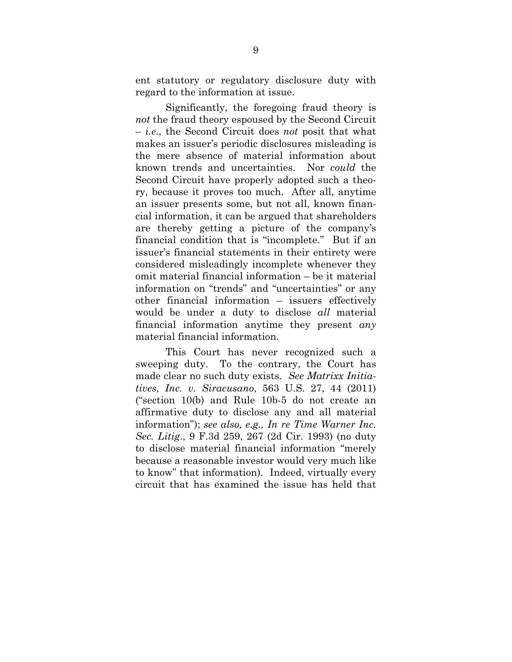ent statutory or regulatory disclosure duty with regard to the information at issue.

Significantly, the foregoing fraud theory is *not* the fraud theory espoused by the Second Circuit – *i.e*., the Second Circuit does *not* posit that what makes an issuer's periodic disclosures misleading is the mere absence of material information about known trends and uncertainties. Nor *could* the Second Circuit have properly adopted such a theory, because it proves too much. After all, anytime an issuer presents some, but not all, known financial information, it can be argued that shareholders are thereby getting a picture of the company's financial condition that is "incomplete." But if an issuer's financial statements in their entirety were considered misleadingly incomplete whenever they omit material financial information – be it material information on "trends" and "uncertainties" or any other financial information – issuers effectively would be under a duty to disclose *all* material financial information anytime they present *any* material financial information.

This Court has never recognized such a sweeping duty. To the contrary, the Court has made clear no such duty exists. *See Matrixx Initiatives, Inc. v. Siracusano*, 563 U.S. 27, 44 (2011) ("section 10(b) and Rule 10b-5 do not create an affirmative duty to disclose any and all material information"); *see also, e.g., In re Time Warner Inc. Sec. Litig*., 9 F.3d 259, 267 (2d Cir. 1993) (no duty to disclose material financial information "merely because a reasonable investor would very much like to know" that information). Indeed, virtually every circuit that has examined the issue has held that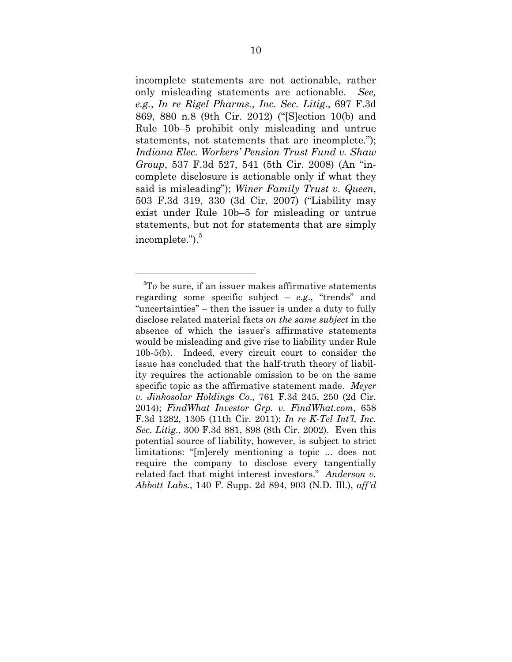incomplete statements are not actionable, rather only misleading statements are actionable. *See, e.g.*, *In re Rigel Pharms., Inc. Sec. Litig*., 697 F.3d 869, 880 n.8 (9th Cir. 2012) ("[S]ection 10(b) and Rule 10b–5 prohibit only misleading and untrue statements, not statements that are incomplete."); *Indiana Elec. Workers' Pension Trust Fund v. Shaw Group*, 537 F.3d 527, 541 (5th Cir. 2008) (An "incomplete disclosure is actionable only if what they said is misleading"); *Winer Family Trust v. Queen*, 503 F.3d 319, 330 (3d Cir. 2007) ("Liability may exist under Rule 10b–5 for misleading or untrue statements, but not for statements that are simply incomplete.").<sup>5</sup>

<sup>5</sup> To be sure, if an issuer makes affirmative statements regarding some specific subject – *e.g*., "trends" and "uncertainties" – then the issuer is under a duty to fully disclose related material facts *on the same subject* in the absence of which the issuer's affirmative statements would be misleading and give rise to liability under Rule 10b-5(b). Indeed, every circuit court to consider the issue has concluded that the half-truth theory of liability requires the actionable omission to be on the same specific topic as the affirmative statement made. *Meyer v. Jinkosolar Holdings Co*., 761 F.3d 245, 250 (2d Cir. 2014); *FindWhat Investor Grp. v. FindWhat.com*, 658 F.3d 1282, 1305 (11th Cir. 2011); *In re K-Tel Int'l, Inc. Sec. Litig*., 300 F.3d 881, 898 (8th Cir. 2002). Even this potential source of liability, however, is subject to strict limitations: "[m]erely mentioning a topic ... does not require the company to disclose every tangentially related fact that might interest investors." *Anderson v. Abbott Labs.*, 140 F. Supp. 2d 894, 903 (N.D. Ill.), *aff'd*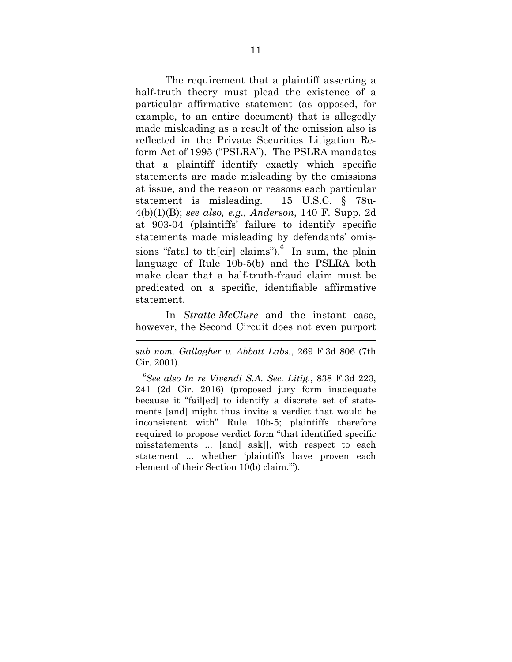The requirement that a plaintiff asserting a half-truth theory must plead the existence of a particular affirmative statement (as opposed, for example, to an entire document) that is allegedly made misleading as a result of the omission also is reflected in the Private Securities Litigation Reform Act of 1995 ("PSLRA"). The PSLRA mandates that a plaintiff identify exactly which specific statements are made misleading by the omissions at issue, and the reason or reasons each particular statement is misleading. 15 U.S.C. § 78u-4(b)(1)(B); *see also, e.g., Anderson*, 140 F. Supp. 2d at 903-04 (plaintiffs' failure to identify specific statements made misleading by defendants' omissions "fatal to th[eir] claims"). $<sup>6</sup>$  In sum, the plain</sup> language of Rule 10b-5(b) and the PSLRA both make clear that a half-truth-fraud claim must be predicated on a specific, identifiable affirmative statement.

In *Stratte-McClure* and the instant case, however, the Second Circuit does not even purport

*sub nom. Gallagher v. Abbott Labs.*, 269 F.3d 806 (7th Cir. 2001).

6 *See also In re Vivendi S.A. Sec. Litig.*, 838 F.3d 223, 241 (2d Cir. 2016) (proposed jury form inadequate because it "fail[ed] to identify a discrete set of statements [and] might thus invite a verdict that would be inconsistent with" Rule 10b-5; plaintiffs therefore required to propose verdict form "that identified specific misstatements ... [and] ask[], with respect to each statement ... whether 'plaintiffs have proven each element of their Section 10(b) claim.'").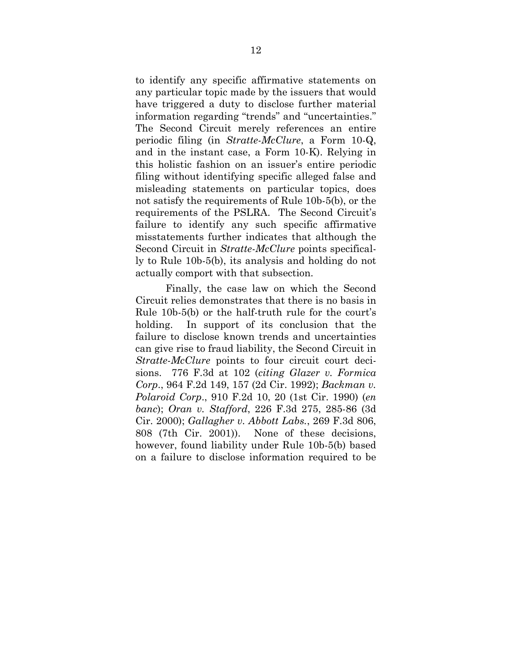to identify any specific affirmative statements on any particular topic made by the issuers that would have triggered a duty to disclose further material information regarding "trends" and "uncertainties." The Second Circuit merely references an entire periodic filing (in *Stratte-McClure*, a Form 10-Q, and in the instant case, a Form 10-K). Relying in this holistic fashion on an issuer's entire periodic filing without identifying specific alleged false and misleading statements on particular topics, does not satisfy the requirements of Rule 10b-5(b), or the requirements of the PSLRA. The Second Circuit's failure to identify any such specific affirmative misstatements further indicates that although the Second Circuit in *Stratte-McClure* points specifically to Rule 10b-5(b), its analysis and holding do not actually comport with that subsection.

Finally, the case law on which the Second Circuit relies demonstrates that there is no basis in Rule 10b-5(b) or the half-truth rule for the court's holding. In support of its conclusion that the failure to disclose known trends and uncertainties can give rise to fraud liability, the Second Circuit in *Stratte-McClure* points to four circuit court decisions. 776 F.3d at 102 (*citing Glazer v. Formica Corp*., 964 F.2d 149, 157 (2d Cir. 1992); *Backman v. Polaroid Corp*., 910 F.2d 10, 20 (1st Cir. 1990) (*en banc*); *Oran v. Stafford*, 226 F.3d 275, 285-86 (3d Cir. 2000); *Gallagher v. Abbott Labs.*, 269 F.3d 806, 808 (7th Cir. 2001)). None of these decisions, however, found liability under Rule 10b-5(b) based on a failure to disclose information required to be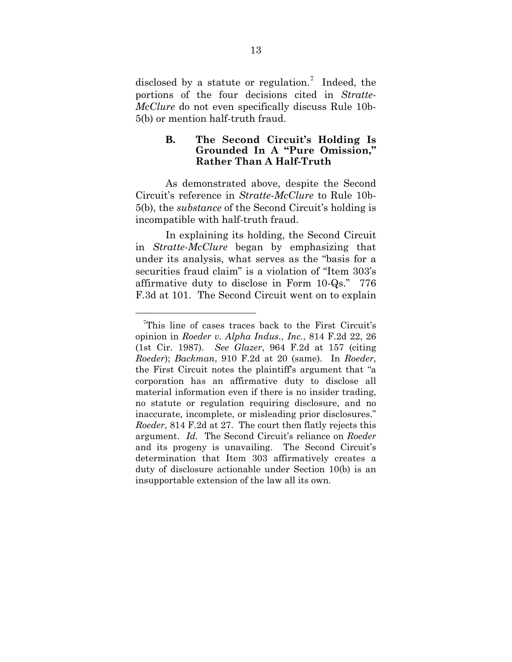disclosed by a statute or regulation.<sup>7</sup> Indeed, the portions of the four decisions cited in *Stratte-McClure* do not even specifically discuss Rule 10b-5(b) or mention half-truth fraud.

#### **B. The Second Circuit's Holding Is Grounded In A "Pure Omission," Rather Than A Half-Truth**

As demonstrated above, despite the Second Circuit's reference in *Stratte-McClure* to Rule 10b-5(b), the *substance* of the Second Circuit's holding is incompatible with half-truth fraud.

In explaining its holding, the Second Circuit in *Stratte-McClure* began by emphasizing that under its analysis, what serves as the "basis for a securities fraud claim" is a violation of "Item 303's affirmative duty to disclose in Form 10-Qs." 776 F.3d at 101. The Second Circuit went on to explain

<sup>7</sup> This line of cases traces back to the First Circuit's opinion in *Roeder v. Alpha Indus., Inc.*, 814 F.2d 22, 26 (1st Cir. 1987). *See Glazer*, 964 F.2d at 157 (citing *Roeder*); *Backman*, 910 F.2d at 20 (same). In *Roeder*, the First Circuit notes the plaintiff's argument that "a corporation has an affirmative duty to disclose all material information even if there is no insider trading, no statute or regulation requiring disclosure, and no inaccurate, incomplete, or misleading prior disclosures." *Roeder*, 814 F.2d at 27. The court then flatly rejects this argument. *Id.* The Second Circuit's reliance on *Roeder* and its progeny is unavailing. The Second Circuit's determination that Item 303 affirmatively creates a duty of disclosure actionable under Section 10(b) is an insupportable extension of the law all its own.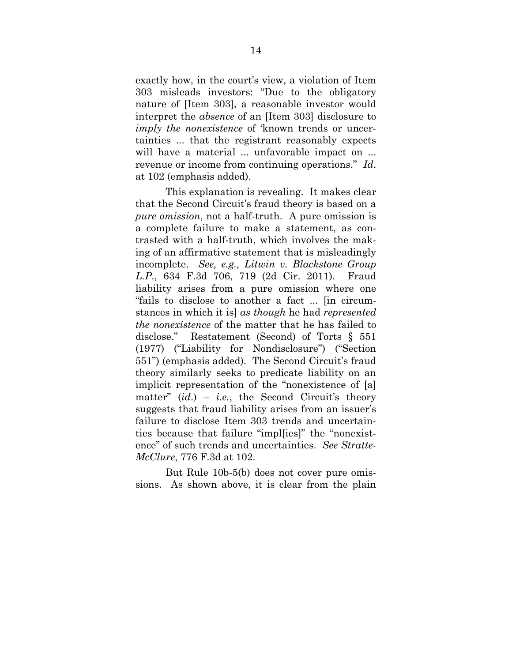exactly how, in the court's view, a violation of Item 303 misleads investors: "Due to the obligatory nature of [Item 303], a reasonable investor would interpret the *absence* of an [Item 303] disclosure to *imply the nonexistence* of 'known trends or uncertainties ... that the registrant reasonably expects will have a material ... unfavorable impact on ... revenue or income from continuing operations." *Id*. at 102 (emphasis added).

This explanation is revealing. It makes clear that the Second Circuit's fraud theory is based on a *pure omission*, not a half-truth. A pure omission is a complete failure to make a statement, as contrasted with a half-truth, which involves the making of an affirmative statement that is misleadingly incomplete. *See, e.g., Litwin v. Blackstone Group L.P*., 634 F.3d 706, 719 (2d Cir. 2011). Fraud liability arises from a pure omission where one "fails to disclose to another a fact ... [in circumstances in which it is] *as though* he had *represented the nonexistence* of the matter that he has failed to disclose." Restatement (Second) of Torts § 551 (1977) ("Liability for Nondisclosure") ("Section 551") (emphasis added). The Second Circuit's fraud theory similarly seeks to predicate liability on an implicit representation of the "nonexistence of [a] matter"  $(id.) - i.e.,$  the Second Circuit's theory suggests that fraud liability arises from an issuer's failure to disclose Item 303 trends and uncertainties because that failure "impl[ies]" the "nonexistence" of such trends and uncertainties. *See Stratte-McClure*, 776 F.3d at 102.

But Rule 10b-5(b) does not cover pure omissions. As shown above, it is clear from the plain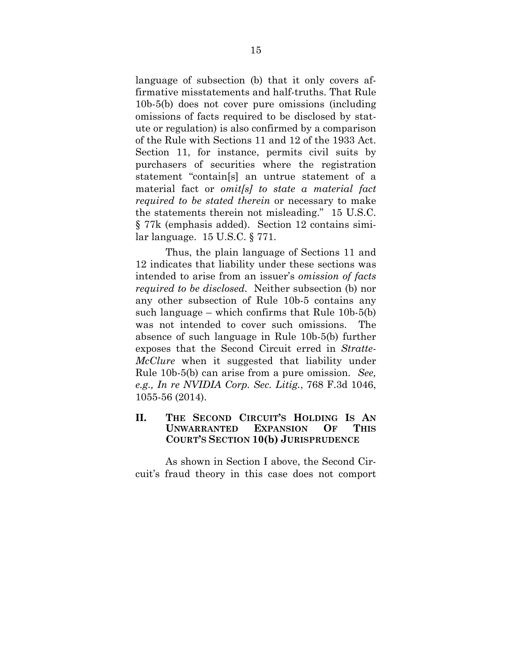language of subsection (b) that it only covers affirmative misstatements and half-truths. That Rule 10b-5(b) does not cover pure omissions (including omissions of facts required to be disclosed by statute or regulation) is also confirmed by a comparison of the Rule with Sections 11 and 12 of the 1933 Act. Section 11, for instance, permits civil suits by purchasers of securities where the registration statement "contain[s] an untrue statement of a material fact or *omit[s] to state a material fact required to be stated therein* or necessary to make the statements therein not misleading." 15 U.S.C. § 77k (emphasis added). Section 12 contains similar language. 15 U.S.C. § 771.

Thus, the plain language of Sections 11 and 12 indicates that liability under these sections was intended to arise from an issuer's *omission of facts required to be disclosed*. Neither subsection (b) nor any other subsection of Rule 10b-5 contains any such language – which confirms that Rule 10b-5(b) was not intended to cover such omissions. The absence of such language in Rule 10b-5(b) further exposes that the Second Circuit erred in *Stratte-McClure* when it suggested that liability under Rule 10b-5(b) can arise from a pure omission. *See, e.g., In re NVIDIA Corp. Sec. Litig.*, 768 F.3d 1046, 1055-56 (2014).

### **II. THE SECOND CIRCUIT'S HOLDING IS AN UNWARRANTED EXPANSION OF THIS COURT'S SECTION 10(b) JURISPRUDENCE**

As shown in Section I above, the Second Circuit's fraud theory in this case does not comport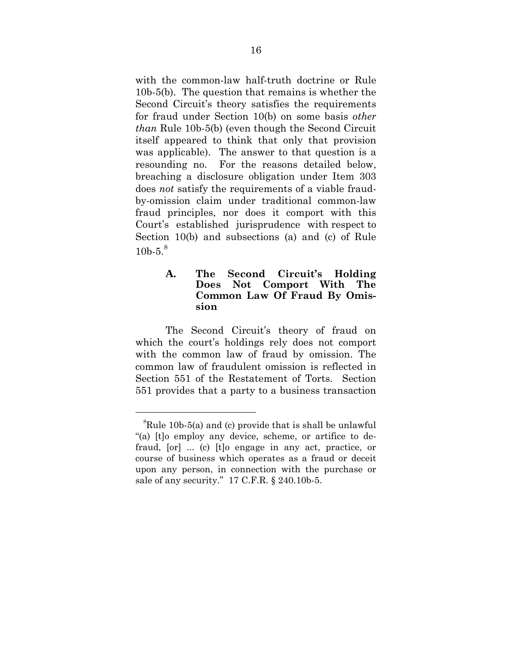with the common-law half-truth doctrine or Rule 10b-5(b). The question that remains is whether the Second Circuit's theory satisfies the requirements for fraud under Section 10(b) on some basis *other than* Rule 10b-5(b) (even though the Second Circuit itself appeared to think that only that provision was applicable). The answer to that question is a resounding no. For the reasons detailed below, breaching a disclosure obligation under Item 303 does *not* satisfy the requirements of a viable fraudby-omission claim under traditional common-law fraud principles, nor does it comport with this Court's established jurisprudence with respect to Section 10(b) and subsections (a) and (c) of Rule 10b-5 $8$ 

### **A. The Second Circuit's Holding Does Not Comport With The Common Law Of Fraud By Omission**

The Second Circuit's theory of fraud on which the court's holdings rely does not comport with the common law of fraud by omission. The common law of fraudulent omission is reflected in Section 551 of the Restatement of Torts. Section 551 provides that a party to a business transaction

 ${}^{8}$ Rule 10b-5(a) and (c) provide that is shall be unlawful "(a) [t]o employ any device, scheme, or artifice to defraud, [or] ... (c) [t]o engage in any act, practice, or course of business which operates as a fraud or deceit upon any person, in connection with the purchase or sale of any security." 17 C.F.R. § 240.10b-5.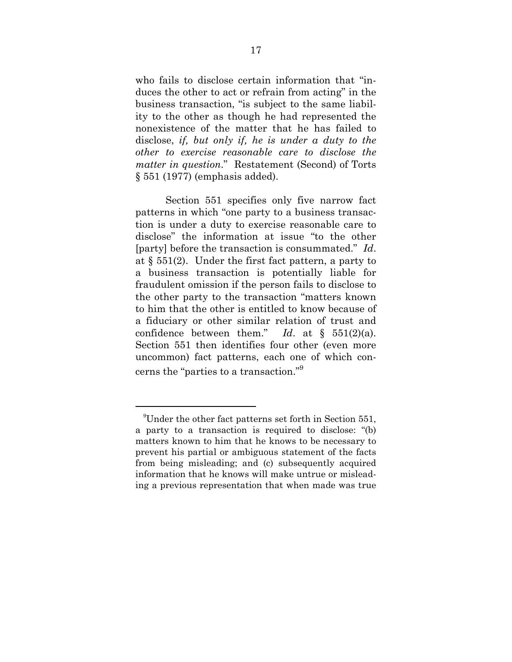who fails to disclose certain information that "induces the other to act or refrain from acting" in the business transaction, "is subject to the same liability to the other as though he had represented the nonexistence of the matter that he has failed to disclose, *if, but only if, he is under a duty to the other to exercise reasonable care to disclose the matter in question*." Restatement (Second) of Torts § 551 (1977) (emphasis added).

Section 551 specifies only five narrow fact patterns in which "one party to a business transaction is under a duty to exercise reasonable care to disclose" the information at issue "to the other [party] before the transaction is consummated." *Id*. at  $\S$  551(2). Under the first fact pattern, a party to a business transaction is potentially liable for fraudulent omission if the person fails to disclose to the other party to the transaction "matters known to him that the other is entitled to know because of a fiduciary or other similar relation of trust and confidence between them." *Id*. at § 551(2)(a). Section 551 then identifies four other (even more uncommon) fact patterns, each one of which concerns the "parties to a transaction."9

<sup>9</sup> Under the other fact patterns set forth in Section 551, a party to a transaction is required to disclose: "(b) matters known to him that he knows to be necessary to prevent his partial or ambiguous statement of the facts from being misleading; and (c) subsequently acquired information that he knows will make untrue or misleading a previous representation that when made was true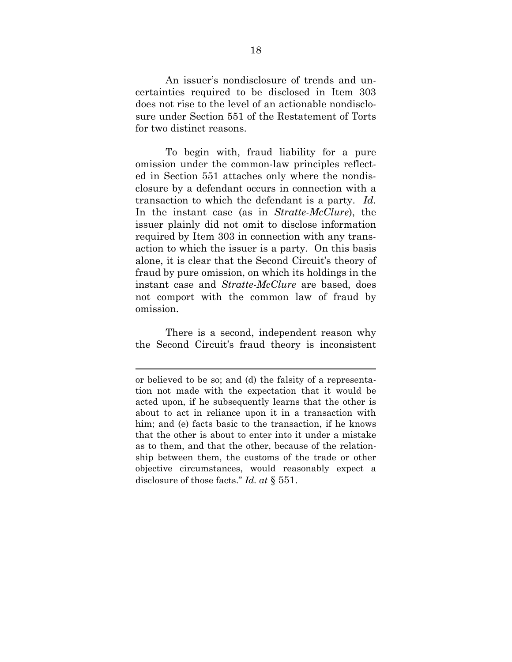An issuer's nondisclosure of trends and uncertainties required to be disclosed in Item 303 does not rise to the level of an actionable nondisclosure under Section 551 of the Restatement of Torts for two distinct reasons.

To begin with, fraud liability for a pure omission under the common-law principles reflected in Section 551 attaches only where the nondisclosure by a defendant occurs in connection with a transaction to which the defendant is a party. *Id.*  In the instant case (as in *Stratte-McClure*), the issuer plainly did not omit to disclose information required by Item 303 in connection with any transaction to which the issuer is a party. On this basis alone, it is clear that the Second Circuit's theory of fraud by pure omission, on which its holdings in the instant case and *Stratte-McClure* are based, does not comport with the common law of fraud by omission.

There is a second, independent reason why the Second Circuit's fraud theory is inconsistent

or believed to be so; and (d) the falsity of a representation not made with the expectation that it would be acted upon, if he subsequently learns that the other is about to act in reliance upon it in a transaction with him; and (e) facts basic to the transaction, if he knows that the other is about to enter into it under a mistake as to them, and that the other, because of the relationship between them, the customs of the trade or other objective circumstances, would reasonably expect a disclosure of those facts." *Id. at* § 551.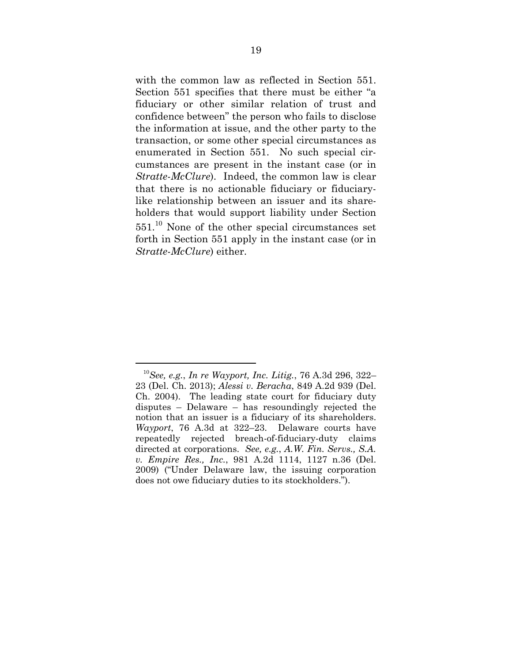with the common law as reflected in Section 551. Section 551 specifies that there must be either "a fiduciary or other similar relation of trust and confidence between" the person who fails to disclose the information at issue, and the other party to the transaction, or some other special circumstances as enumerated in Section 551. No such special circumstances are present in the instant case (or in *Stratte-McClure*). Indeed, the common law is clear that there is no actionable fiduciary or fiduciarylike relationship between an issuer and its shareholders that would support liability under Section 551.10 None of the other special circumstances set forth in Section 551 apply in the instant case (or in *Stratte-McClure*) either.

 $\overline{a}$ <sup>10</sup>*See, e.g.*, *In re Wayport, Inc. Litig.*, 76 A.3d 296, 322– 23 (Del. Ch. 2013); *Alessi v. Beracha*, 849 A.2d 939 (Del. Ch. 2004). The leading state court for fiduciary duty disputes – Delaware – has resoundingly rejected the notion that an issuer is a fiduciary of its shareholders. *Wayport*, 76 A.3d at 322–23. Delaware courts have repeatedly rejected breach-of-fiduciary-duty claims directed at corporations. *See, e.g.*, *A.W. Fin. Servs., S.A. v. Empire Res., Inc.*, 981 A.2d 1114, 1127 n.36 (Del. 2009) ("Under Delaware law, the issuing corporation does not owe fiduciary duties to its stockholders.").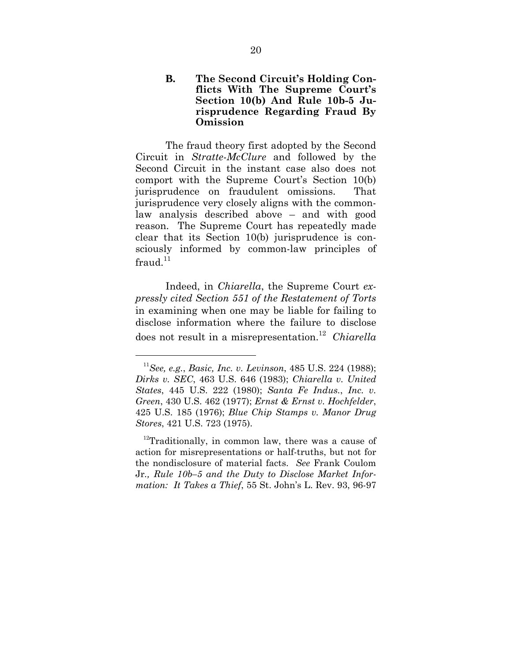#### **B. The Second Circuit's Holding Conflicts With The Supreme Court's Section 10(b) And Rule 10b-5 Jurisprudence Regarding Fraud By Omission**

The fraud theory first adopted by the Second Circuit in *Stratte-McClure* and followed by the Second Circuit in the instant case also does not comport with the Supreme Court's Section 10(b) jurisprudence on fraudulent omissions. That jurisprudence very closely aligns with the commonlaw analysis described above – and with good reason. The Supreme Court has repeatedly made clear that its Section 10(b) jurisprudence is consciously informed by common-law principles of  $fraud.<sup>11</sup>$ 

Indeed, in *Chiarella*, the Supreme Court *expressly cited Section 551 of the Restatement of Torts*  in examining when one may be liable for failing to disclose information where the failure to disclose does not result in a misrepresentation.<sup>12</sup> *Chiarella*

<sup>11</sup>*See, e.g.*, *Basic, Inc. v. Levinson*, 485 U.S. 224 (1988); *Dirks v. SEC*, 463 U.S. 646 (1983); *Chiarella v. United States*, 445 U.S. 222 (1980); *Santa Fe Indus.*, *Inc. v. Green*, 430 U.S. 462 (1977); *Ernst & Ernst v. Hochfelder*, 425 U.S. 185 (1976); *Blue Chip Stamps v. Manor Drug Stores*, 421 U.S. 723 (1975).

 $12$ Traditionally, in common law, there was a cause of action for misrepresentations or half-truths, but not for the nondisclosure of material facts. *See* Frank Coulom Jr*., Rule 10b–5 and the Duty to Disclose Market Information: It Takes a Thief*, 55 St. John's L. Rev. 93, 96-97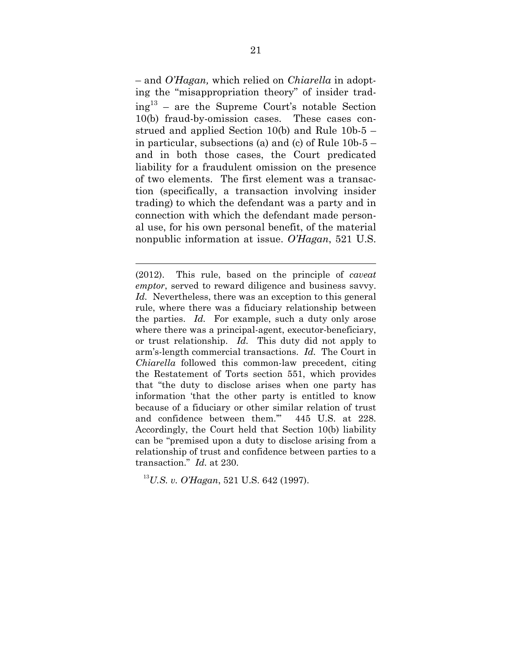– and *O'Hagan,* which relied on *Chiarella* in adopting the "misappropriation theory" of insider trad $ing<sup>13</sup>$  – are the Supreme Court's notable Section 10(b) fraud-by-omission cases. These cases construed and applied Section 10(b) and Rule 10b-5 – in particular, subsections (a) and (c) of Rule 10b-5 – and in both those cases, the Court predicated liability for a fraudulent omission on the presence of two elements. The first element was a transaction (specifically, a transaction involving insider trading) to which the defendant was a party and in connection with which the defendant made personal use, for his own personal benefit, of the material nonpublic information at issue. *O'Hagan*, 521 U.S.

<sup>13</sup>*U.S. v. O'Hagan*, 521 U.S. 642 (1997).

<sup>(2012).</sup> This rule, based on the principle of *caveat emptor*, served to reward diligence and business savvy. *Id.* Nevertheless, there was an exception to this general rule, where there was a fiduciary relationship between the parties. *Id.* For example, such a duty only arose where there was a principal-agent, executor-beneficiary, or trust relationship. *Id.* This duty did not apply to arm's-length commercial transactions. *Id.* The Court in *Chiarella* followed this common-law precedent, citing the Restatement of Torts section 551, which provides that "the duty to disclose arises when one party has information 'that the other party is entitled to know because of a fiduciary or other similar relation of trust and confidence between them.'" 445 U.S. at 228. Accordingly, the Court held that Section 10(b) liability can be "premised upon a duty to disclose arising from a relationship of trust and confidence between parties to a transaction." *Id.* at 230.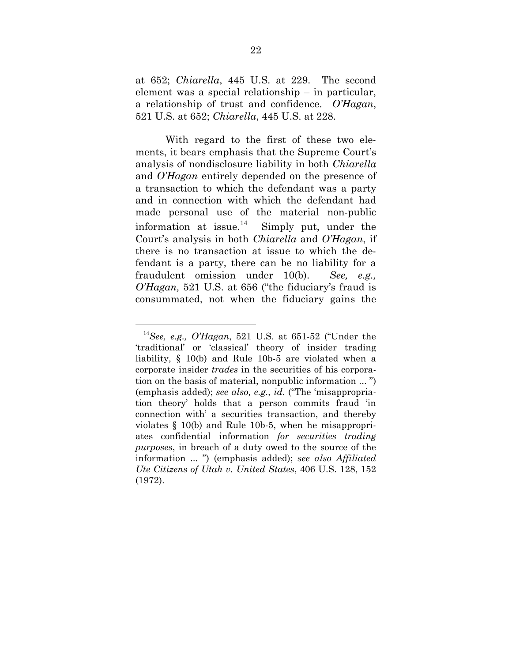at 652; *Chiarella*, 445 U.S. at 229. The second element was a special relationship – in particular, a relationship of trust and confidence. *O'Hagan*, 521 U.S. at 652; *Chiarella*, 445 U.S. at 228.

With regard to the first of these two elements, it bears emphasis that the Supreme Court's analysis of nondisclosure liability in both *Chiarella* and *O'Hagan* entirely depended on the presence of a transaction to which the defendant was a party and in connection with which the defendant had made personal use of the material non-public information at issue.<sup>14</sup> Simply put, under the Court's analysis in both *Chiarella* and *O'Hagan*, if there is no transaction at issue to which the defendant is a party, there can be no liability for a fraudulent omission under 10(b). *See, e.g., O'Hagan,* 521 U.S. at 656 ("the fiduciary's fraud is consummated, not when the fiduciary gains the

<sup>14</sup>*See, e.g., O'Hagan*, 521 U.S. at 651-52 ("Under the 'traditional' or 'classical' theory of insider trading liability, § 10(b) and Rule 10b-5 are violated when a corporate insider *trades* in the securities of his corporation on the basis of material, nonpublic information ... ") (emphasis added); *see also, e.g., id*. ("The 'misappropriation theory' holds that a person commits fraud 'in connection with' a securities transaction, and thereby violates § 10(b) and Rule 10b-5, when he misappropriates confidential information *for securities trading purposes*, in breach of a duty owed to the source of the information ... ") (emphasis added); *see also Affiliated Ute Citizens of Utah v. United States*, 406 U.S. 128, 152 (1972).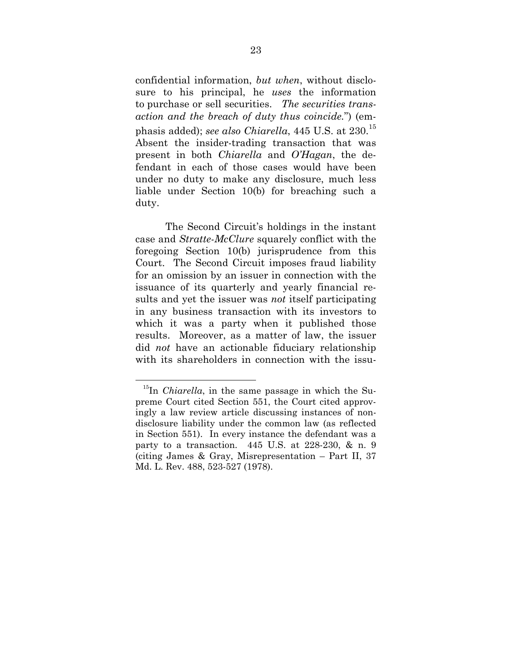confidential information, *but when*, without disclosure to his principal, he *uses* the information to purchase or sell securities. *The securities transaction and the breach of duty thus coincide.*") (emphasis added); *see also Chiarella*, 445 U.S. at 230.15 Absent the insider-trading transaction that was present in both *Chiarella* and *O'Hagan*, the defendant in each of those cases would have been under no duty to make any disclosure, much less liable under Section 10(b) for breaching such a duty.

The Second Circuit's holdings in the instant case and *Stratte-McClure* squarely conflict with the foregoing Section 10(b) jurisprudence from this Court. The Second Circuit imposes fraud liability for an omission by an issuer in connection with the issuance of its quarterly and yearly financial results and yet the issuer was *not* itself participating in any business transaction with its investors to which it was a party when it published those results. Moreover, as a matter of law, the issuer did *not* have an actionable fiduciary relationship with its shareholders in connection with the issu-

<sup>&</sup>lt;sup>15</sup>In *Chiarella*, in the same passage in which the Supreme Court cited Section 551, the Court cited approvingly a law review article discussing instances of nondisclosure liability under the common law (as reflected in Section 551). In every instance the defendant was a party to a transaction. 445 U.S. at 228-230, & n. 9 (citing James & Gray, Misrepresentation – Part II, 37 Md. L. Rev. 488, 523-527 (1978).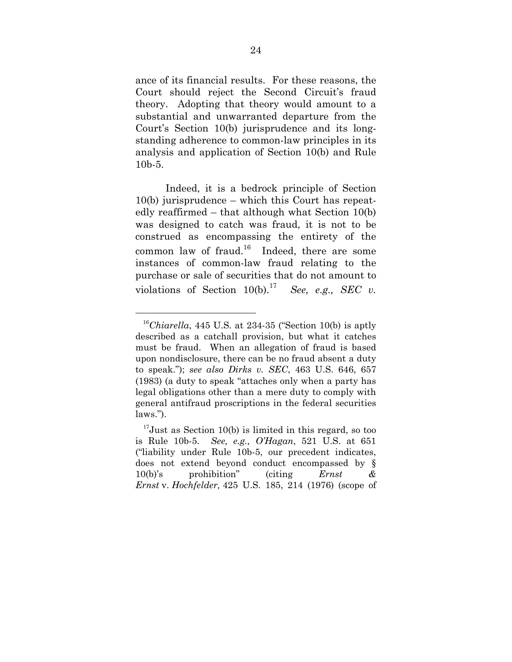ance of its financial results. For these reasons, the Court should reject the Second Circuit's fraud theory. Adopting that theory would amount to a substantial and unwarranted departure from the Court's Section 10(b) jurisprudence and its longstanding adherence to common-law principles in its analysis and application of Section 10(b) and Rule 10b-5.

Indeed, it is a bedrock principle of Section 10(b) jurisprudence – which this Court has repeatedly reaffirmed – that although what Section 10(b) was designed to catch was fraud, it is not to be construed as encompassing the entirety of the common law of fraud.<sup>16</sup> Indeed, there are some instances of common-law fraud relating to the purchase or sale of securities that do not amount to violations of Section  $10(b)$ .<sup>17</sup> *See, e.g., SEC v.* 

<sup>&</sup>lt;sup>16</sup>Chiarella, 445 U.S. at 234-35 ("Section 10(b) is aptly described as a catchall provision, but what it catches must be fraud. When an allegation of fraud is based upon nondisclosure, there can be no fraud absent a duty to speak."); *see also Dirks v. SEC*, 463 U.S. 646, 657 (1983) (a duty to speak "attaches only when a party has legal obligations other than a mere duty to comply with general antifraud proscriptions in the federal securities laws.").

 $17$ Just as Section 10(b) is limited in this regard, so too is Rule 10b-5. *See, e.g., O'Hagan*, 521 U.S. at 651 ("liability under Rule 10b-5, our precedent indicates, does not extend beyond conduct encompassed by § 10(b)'s prohibition" (citing *Ernst & Ernst* v. *Hochfelder,* 425 U.S. 185, 214 (1976) (scope of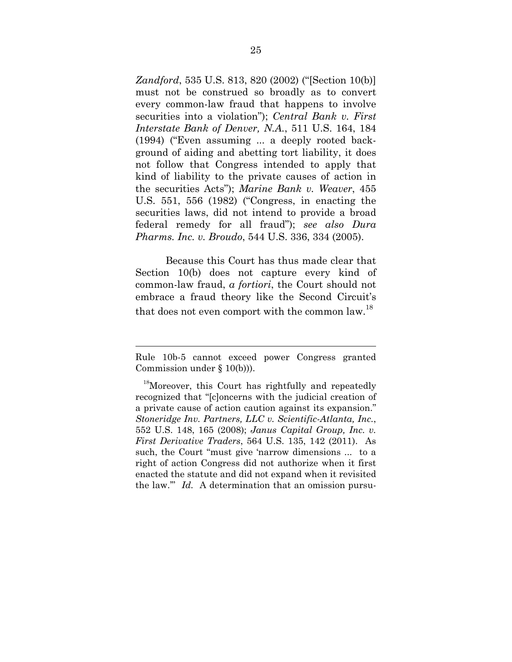*Zandford*, 535 U.S. 813, 820 (2002) ("[Section 10(b)] must not be construed so broadly as to convert every common-law fraud that happens to involve securities into a violation"); *Central Bank v. First Interstate Bank of Denver, N.A.*, 511 U.S. 164, 184 (1994) ("Even assuming ... a deeply rooted background of aiding and abetting tort liability, it does not follow that Congress intended to apply that kind of liability to the private causes of action in the securities Acts"); *Marine Bank v. Weaver*, 455 U.S. 551, 556 (1982) ("Congress, in enacting the securities laws, did not intend to provide a broad federal remedy for all fraud"); *see also Dura Pharms. Inc. v. Broudo*, 544 U.S. 336, 334 (2005).

Because this Court has thus made clear that Section 10(b) does not capture every kind of common-law fraud, *a fortiori*, the Court should not embrace a fraud theory like the Second Circuit's that does not even comport with the common law.<sup>18</sup>

Rule 10b-5 cannot exceed power Congress granted Commission under § 10(b))).

<sup>&</sup>lt;sup>18</sup>Moreover, this Court has rightfully and repeatedly recognized that "[c]oncerns with the judicial creation of a private cause of action caution against its expansion." *Stoneridge Inv. Partners, LLC v. Scientific-Atlanta, Inc.*, 552 U.S. 148, 165 (2008); *Janus Capital Group, Inc. v. First Derivative Traders*, 564 U.S. 135, 142 (2011). As such, the Court "must give 'narrow dimensions ... to a right of action Congress did not authorize when it first enacted the statute and did not expand when it revisited the law.'" *Id.* A determination that an omission pursu-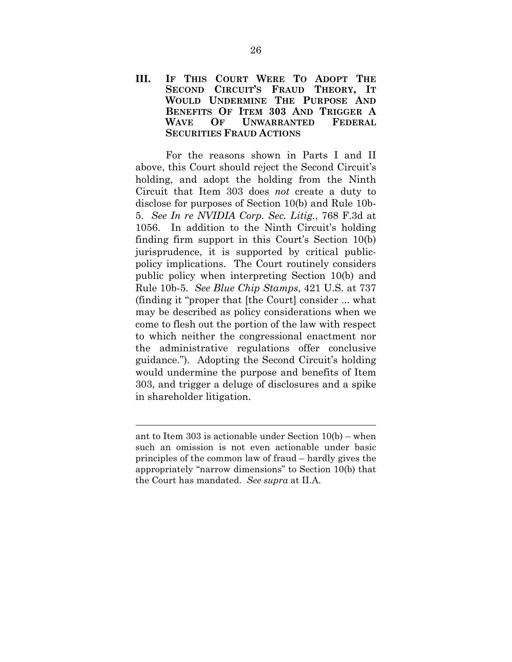#### **III. IF THIS COURT WERE TO ADOPT THE SECOND CIRCUIT'S FRAUD THEORY, IT WOULD UNDERMINE THE PURPOSE AND BENEFITS OF ITEM 303 AND TRIGGER A WAVE OF UNWARRANTED FEDERAL SECURITIES FRAUD ACTIONS**

For the reasons shown in Parts I and II above, this Court should reject the Second Circuit's holding, and adopt the holding from the Ninth Circuit that Item 303 does *not* create a duty to disclose for purposes of Section 10(b) and Rule 10b-5. *See In re NVIDIA Corp. Sec. Litig.*, 768 F.3d at 1056. In addition to the Ninth Circuit's holding finding firm support in this Court's Section 10(b) jurisprudence, it is supported by critical publicpolicy implications. The Court routinely considers public policy when interpreting Section 10(b) and Rule 10b-5. *See Blue Chip Stamps*, 421 U.S. at 737 (finding it "proper that [the Court] consider ... what may be described as policy considerations when we come to flesh out the portion of the law with respect to which neither the congressional enactment nor the administrative regulations offer conclusive guidance."). Adopting the Second Circuit's holding would undermine the purpose and benefits of Item 303, and trigger a deluge of disclosures and a spike in shareholder litigation.

ant to Item 303 is actionable under Section 10(b) – when such an omission is not even actionable under basic principles of the common law of fraud – hardly gives the appropriately "narrow dimensions" to Section 10(b) that the Court has mandated. *See supra* at II.A.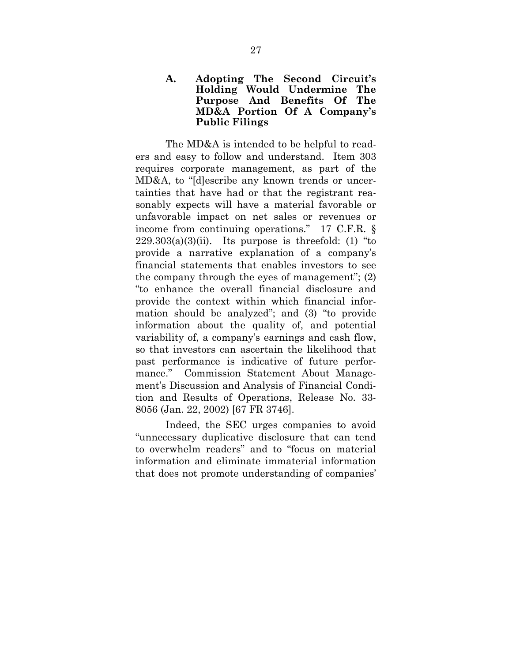#### **A. Adopting The Second Circuit's Holding Would Undermine The Purpose And Benefits Of The MD&A Portion Of A Company's Public Filings**

The MD&A is intended to be helpful to readers and easy to follow and understand. Item 303 requires corporate management, as part of the MD&A, to "[d]escribe any known trends or uncertainties that have had or that the registrant reasonably expects will have a material favorable or unfavorable impact on net sales or revenues or income from continuing operations." 17 C.F.R. §  $229.303(a)(3)(ii)$ . Its purpose is threefold: (1) "to provide a narrative explanation of a company's financial statements that enables investors to see the company through the eyes of management"; (2) "to enhance the overall financial disclosure and provide the context within which financial information should be analyzed"; and (3) "to provide information about the quality of, and potential variability of, a company's earnings and cash flow, so that investors can ascertain the likelihood that past performance is indicative of future performance." Commission Statement About Management's Discussion and Analysis of Financial Condition and Results of Operations, Release No. 33- 8056 (Jan. 22, 2002) [67 FR 3746].

Indeed, the SEC urges companies to avoid "unnecessary duplicative disclosure that can tend to overwhelm readers" and to "focus on material information and eliminate immaterial information that does not promote understanding of companies'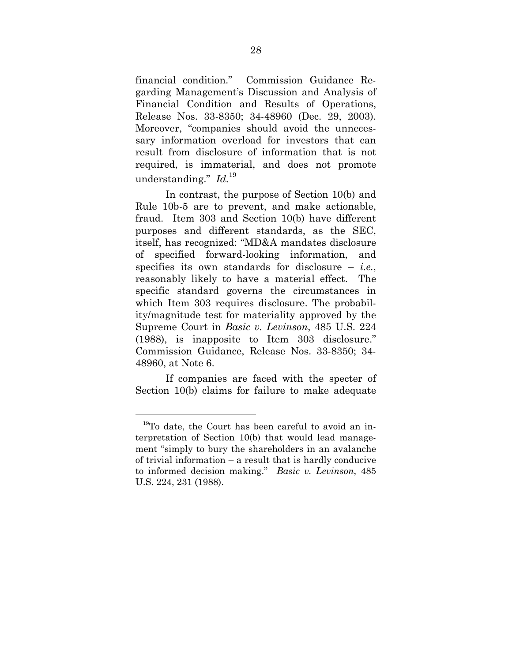financial condition." Commission Guidance Regarding Management's Discussion and Analysis of Financial Condition and Results of Operations, Release Nos. 33-8350; 34-48960 (Dec. 29, 2003). Moreover, "companies should avoid the unnecessary information overload for investors that can result from disclosure of information that is not required, is immaterial, and does not promote understanding." *Id.*<sup>19</sup>

In contrast, the purpose of Section 10(b) and Rule 10b-5 are to prevent, and make actionable, fraud. Item 303 and Section 10(b) have different purposes and different standards, as the SEC, itself, has recognized: "MD&A mandates disclosure of specified forward-looking information, and specifies its own standards for disclosure – *i.e.*, reasonably likely to have a material effect. The specific standard governs the circumstances in which Item 303 requires disclosure. The probability/magnitude test for materiality approved by the Supreme Court in *Basic v. Levinson*, 485 U.S. 224 (1988), is inapposite to Item 303 disclosure." Commission Guidance, Release Nos. 33-8350; 34- 48960, at Note 6.

If companies are faced with the specter of Section 10(b) claims for failure to make adequate

 $19$ To date, the Court has been careful to avoid an interpretation of Section 10(b) that would lead management "simply to bury the shareholders in an avalanche of trivial information – a result that is hardly conducive to informed decision making." *Basic v. Levinson*, 485 U.S. 224, 231 (1988).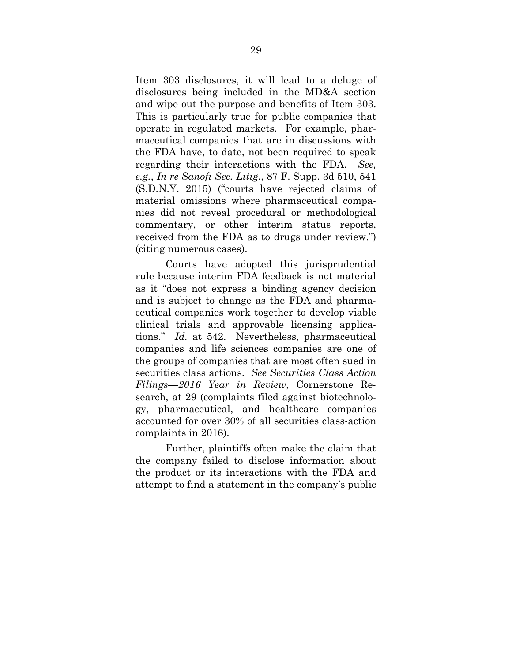Item 303 disclosures, it will lead to a deluge of disclosures being included in the MD&A section and wipe out the purpose and benefits of Item 303. This is particularly true for public companies that operate in regulated markets. For example, pharmaceutical companies that are in discussions with the FDA have, to date, not been required to speak regarding their interactions with the FDA. *See, e.g.*, *In re Sanofi Sec. Litig.*, 87 F. Supp. 3d 510, 541 (S.D.N.Y. 2015) ("courts have rejected claims of material omissions where pharmaceutical companies did not reveal procedural or methodological commentary, or other interim status reports, received from the FDA as to drugs under review.") (citing numerous cases).

Courts have adopted this jurisprudential rule because interim FDA feedback is not material as it "does not express a binding agency decision and is subject to change as the FDA and pharmaceutical companies work together to develop viable clinical trials and approvable licensing applications." *Id.* at 542. Nevertheless, pharmaceutical companies and life sciences companies are one of the groups of companies that are most often sued in securities class actions. *See Securities Class Action Filings—2016 Year in Review*, Cornerstone Research, at 29 (complaints filed against biotechnology, pharmaceutical, and healthcare companies accounted for over 30% of all securities class-action complaints in 2016).

Further, plaintiffs often make the claim that the company failed to disclose information about the product or its interactions with the FDA and attempt to find a statement in the company's public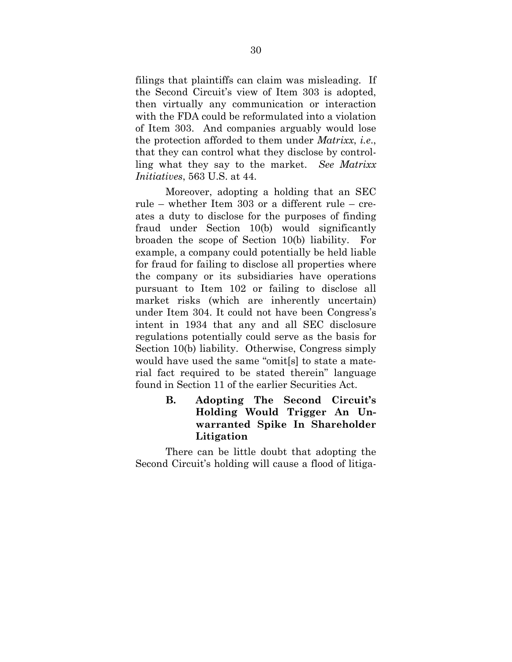filings that plaintiffs can claim was misleading. If the Second Circuit's view of Item 303 is adopted, then virtually any communication or interaction with the FDA could be reformulated into a violation of Item 303. And companies arguably would lose the protection afforded to them under *Matrixx*, *i.e*., that they can control what they disclose by controlling what they say to the market. *See Matrixx Initiatives*, 563 U.S. at 44.

Moreover, adopting a holding that an SEC rule – whether Item 303 or a different rule – creates a duty to disclose for the purposes of finding fraud under Section 10(b) would significantly broaden the scope of Section 10(b) liability. For example, a company could potentially be held liable for fraud for failing to disclose all properties where the company or its subsidiaries have operations pursuant to Item 102 or failing to disclose all market risks (which are inherently uncertain) under Item 304. It could not have been Congress's intent in 1934 that any and all SEC disclosure regulations potentially could serve as the basis for Section 10(b) liability. Otherwise, Congress simply would have used the same "omit[s] to state a material fact required to be stated therein" language found in Section 11 of the earlier Securities Act.

### **B. Adopting The Second Circuit's Holding Would Trigger An Unwarranted Spike In Shareholder Litigation**

There can be little doubt that adopting the Second Circuit's holding will cause a flood of litiga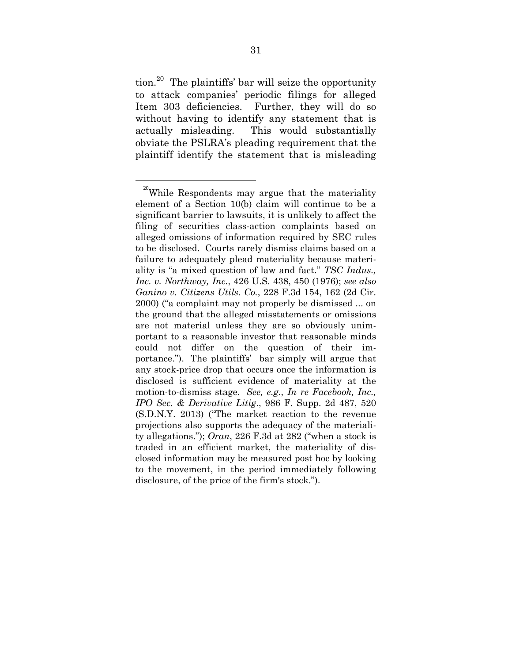tion. $20$  The plaintiffs' bar will seize the opportunity to attack companies' periodic filings for alleged Item 303 deficiencies. Further, they will do so without having to identify any statement that is actually misleading. This would substantially obviate the PSLRA's pleading requirement that the plaintiff identify the statement that is misleading

 $20$ While Respondents may argue that the materiality element of a Section 10(b) claim will continue to be a significant barrier to lawsuits, it is unlikely to affect the filing of securities class-action complaints based on alleged omissions of information required by SEC rules to be disclosed. Courts rarely dismiss claims based on a failure to adequately plead materiality because materiality is "a mixed question of law and fact." *TSC Indus., Inc. v. Northway, Inc.*, 426 U.S. 438, 450 (1976); *see also Ganino v. Citizens Utils. Co.*, 228 F.3d 154, 162 (2d Cir. 2000) ("a complaint may not properly be dismissed ... on the ground that the alleged misstatements or omissions are not material unless they are so obviously unimportant to a reasonable investor that reasonable minds could not differ on the question of their importance."). The plaintiffs' bar simply will argue that any stock-price drop that occurs once the information is disclosed is sufficient evidence of materiality at the motion-to-dismiss stage. *See, e.g.*, *In re Facebook, Inc., IPO Sec. & Derivative Litig*., 986 F. Supp. 2d 487, 520 (S.D.N.Y. 2013) ("The market reaction to the revenue projections also supports the adequacy of the materiality allegations."); *Oran*, 226 F.3d at 282 ("when a stock is traded in an efficient market, the materiality of disclosed information may be measured post hoc by looking to the movement, in the period immediately following disclosure, of the price of the firm's stock.").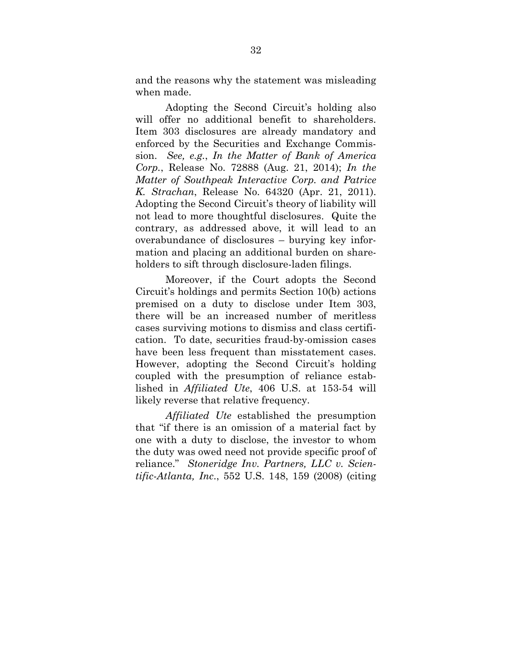and the reasons why the statement was misleading when made.

Adopting the Second Circuit's holding also will offer no additional benefit to shareholders. Item 303 disclosures are already mandatory and enforced by the Securities and Exchange Commission. *See, e.g.*, *In the Matter of Bank of America Corp.*, Release No. 72888 (Aug. 21, 2014); *In the Matter of Southpeak Interactive Corp. and Patrice K. Strachan*, Release No. 64320 (Apr. 21, 2011). Adopting the Second Circuit's theory of liability will not lead to more thoughtful disclosures. Quite the contrary, as addressed above, it will lead to an overabundance of disclosures – burying key information and placing an additional burden on shareholders to sift through disclosure-laden filings.

Moreover, if the Court adopts the Second Circuit's holdings and permits Section 10(b) actions premised on a duty to disclose under Item 303, there will be an increased number of meritless cases surviving motions to dismiss and class certification. To date, securities fraud-by-omission cases have been less frequent than misstatement cases. However, adopting the Second Circuit's holding coupled with the presumption of reliance established in *Affiliated Ute*, 406 U.S. at 153-54 will likely reverse that relative frequency.

*Affiliated Ute* established the presumption that "if there is an omission of a material fact by one with a duty to disclose, the investor to whom the duty was owed need not provide specific proof of reliance." *Stoneridge Inv. Partners, LLC v. Scientific-Atlanta, Inc*., 552 U.S. 148, 159 (2008) (citing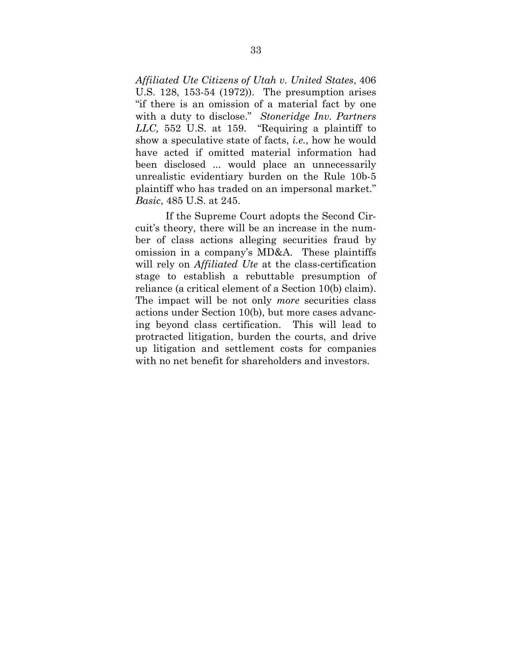*Affiliated Ute Citizens of Utah v. United States*, 406 U.S. 128, 153-54 (1972)). The presumption arises "if there is an omission of a material fact by one with a duty to disclose." *Stoneridge Inv. Partners LLC,* 552 U.S. at 159. "Requiring a plaintiff to show a speculative state of facts, *i.e.*, how he would have acted if omitted material information had been disclosed ... would place an unnecessarily unrealistic evidentiary burden on the Rule 10b-5 plaintiff who has traded on an impersonal market." *Basic*, 485 U.S. at 245.

If the Supreme Court adopts the Second Circuit's theory, there will be an increase in the number of class actions alleging securities fraud by omission in a company's MD&A. These plaintiffs will rely on *Affiliated Ute* at the class-certification stage to establish a rebuttable presumption of reliance (a critical element of a Section 10(b) claim). The impact will be not only *more* securities class actions under Section 10(b), but more cases advancing beyond class certification. This will lead to protracted litigation, burden the courts, and drive up litigation and settlement costs for companies with no net benefit for shareholders and investors.